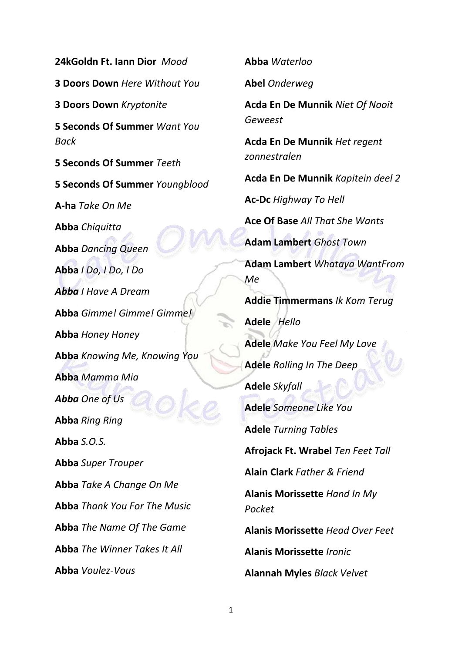**24kGoldn Ft. Iann Dior** *Mood* **3 Doors Down** *Here Without You* **3 Doors Down** *Kryptonite* **5 Seconds Of Summer** *Want You Back* **5 Seconds Of Summer** *Teeth* **5 Seconds Of Summer** *Youngblood* **A-ha** *Take On Me* **Abba** *Chiquitta* **Abba** *Dancing Queen* **Abba** *I Do, I Do, I Do Abba I Have A Dream* **Abba** *Gimme! Gimme! Gimme!* **Abba** *Honey Honey* **Abba** *Knowing Me, Knowing You* **Abba** *Mamma Mia Abba One of Us* **Abba** *Ring Ring* **Abba** *S.O.S.* **Abba** *Super Trouper* **Abba** *Take A Change On Me* **Abba** *Thank You For The Music* **Abba** *The Name Of The Game* **Abba** *The Winner Takes It All* **Abba** *Voulez-Vous*

**Abel** *Onderweg* **Acda En De Munnik** *Niet Of Nooit Geweest* **Acda En De Munnik** *Het regent zonnestralen*  **Acda En De Munnik** *Kapitein deel 2* **Ac-Dc** *Highway To Hell* **Ace Of Base** *All That She Wants* **Adam Lambert** *Ghost Town* **Adam Lambert** *Whataya WantFrom Me* **Addie Timmermans** *Ik Kom Terug* **Adele** *Hello* **Adele** *Make You Feel My Love* **Adele** *Rolling In The Deep* **Adele** *Skyfall* **Adele** *Someone Like You* **Adele** *Turning Tables* **Afrojack Ft. Wrabel** *Ten Feet Tall* **Alain Clark** *Father & Friend* **Alanis Morissette** *Hand In My Pocket* **Alanis Morissette** *Head Over Feet* **Alanis Morissette** *Ironic* **Alannah Myles** *Black Velvet*

**Abba** *Waterloo*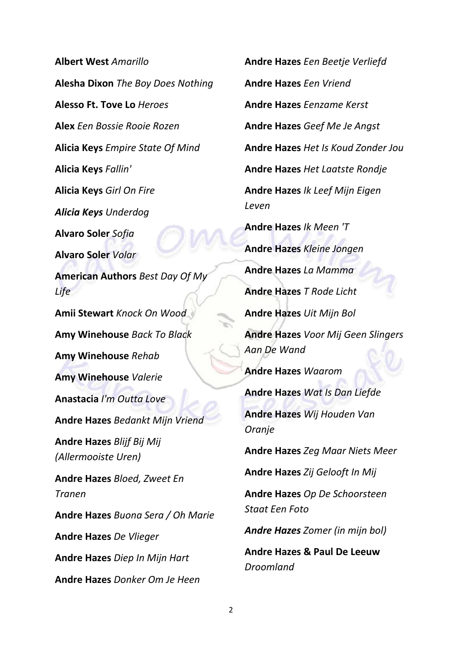**Albert West** *Amarillo* **Alesha Dixon** *The Boy Does Nothing* **Alesso Ft. Tove Lo** *Heroes* **Alex** *Een Bossie Rooie Rozen* **Alicia Keys** *Empire State Of Mind* **Alicia Keys** *Fallin'* **Alicia Keys** *Girl On Fire Alicia Keys Underdog* **Alvaro Soler** *Sofia* **Alvaro Soler** *Volar* **American Authors** *Best Day Of My Life* **Amii Stewart** *Knock On Wood* **Amy Winehouse** *Back To Black* **Amy Winehouse** *Rehab* **Amy Winehouse** *Valerie* **Anastacia** *I'm Outta Love* **Andre Hazes** *Bedankt Mijn Vriend* **Andre Hazes** *Blijf Bij Mij (Allermooiste Uren)* **Andre Hazes** *Bloed, Zweet En Tranen* **Andre Hazes** *Buona Sera / Oh Marie* **Andre Hazes** *De Vlieger* **Andre Hazes** *Diep In Mijn Hart* **Andre Hazes** *Donker Om Je Heen*

**Andre Hazes** *Een Vriend* **Andre Hazes** *Eenzame Kerst* **Andre Hazes** *Geef Me Je Angst* **Andre Hazes** *Het Is Koud Zonder Jou* **Andre Hazes** *Het Laatste Rondje* **Andre Hazes** *Ik Leef Mijn Eigen Leven* **Andre Hazes** *Ik Meen 'T* **Andre Hazes** *Kleine Jongen* **Andre Hazes** *La Mamma* **Andre Hazes** *T Rode Licht* **Andre Hazes** *Uit Mijn Bol* **Andre Hazes** *Voor Mij Geen Slingers Aan De Wand* **Andre Hazes** *Waarom* **Andre Hazes** *Wat Is Dan Liefde* **Andre Hazes** *Wij Houden Van Oranje* **Andre Hazes** *Zeg Maar Niets Meer* **Andre Hazes** *Zij Gelooft In Mij* **Andre Hazes** *Op De Schoorsteen Staat Een Foto Andre Hazes Zomer (in mijn bol)* **Andre Hazes & Paul De Leeuw**  *Droomland*

**Andre Hazes** *Een Beetje Verliefd*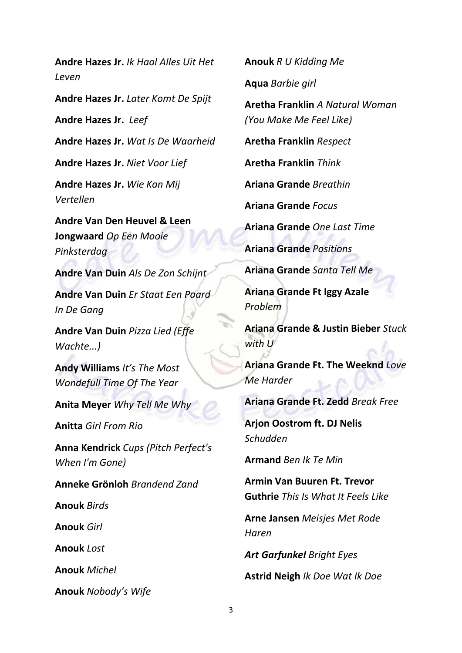**Andre Hazes Jr.** *Ik Haal Alles Uit Het Leven*

**Andre Hazes Jr.** *Later Komt De Spijt*

**Andre Hazes Jr.** *Leef*

**Andre Hazes Jr.** *Wat Is De Waarheid*

**Andre Hazes Jr.** *Niet Voor Lief*

**Andre Hazes Jr.** *Wie Kan Mij Vertellen*

**Andre Van Den Heuvel & Leen Jongwaard** *Op Een Mooie Pinksterdag*

**Andre Van Duin** *Als De Zon Schijnt*

**Andre Van Duin** *Er Staat Een Paard In De Gang*

**Andre Van Duin** *Pizza Lied (Effe Wachte...)*

**Andy Williams** *It's The Most Wondefull Time Of The Year*

**Anita Meyer** *Why Tell Me Why*

**Anitta** *Girl From Rio*

**Anna Kendrick** *Cups (Pitch Perfect's When I'm Gone)*

**Anneke Grönloh** *Brandend Zand*

**Anouk** *Birds*

**Anouk** *Girl*

**Anouk** *Lost*

**Anouk** *Michel*

**Anouk** *Nobody's Wife*

**Anouk** *R U Kidding Me*

**Aqua** *Barbie girl*

**Aretha Franklin** *A Natural Woman (You Make Me Feel Like)*

**Aretha Franklin** *Respect*

**Aretha Franklin** *Think*

**Ariana Grande** *Breathin*

**Ariana Grande** *Focus*

**Ariana Grande** *One Last Time*

**Ariana Grande** *Positions*

**Ariana Grande** *Santa Tell Me*

**Ariana Grande Ft Iggy Azale** *Problem*

**Ariana Grande & Justin Bieber** *Stuck with U*

**Ariana Grande Ft. The Weeknd** *Love Me Harder*

**Ariana Grande Ft. Zedd** *Break Free*

**Arjon Oostrom ft. DJ Nelis** *Schudden*

**Armand** *Ben Ik Te Min*

**Armin Van Buuren Ft. Trevor Guthrie** *This Is What It Feels Like*

**Arne Jansen** *Meisjes Met Rode Haren*

*Art Garfunkel Bright Eyes*

**Astrid Neigh** *Ik Doe Wat Ik Doe*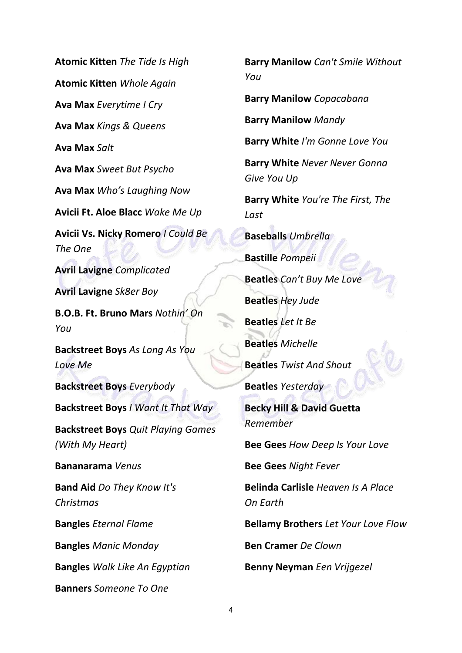**Atomic Kitten** *The Tide Is High* **Atomic Kitten** *Whole Again* **Ava Max** *Everytime I Cry* **Ava Max** *Kings & Queens* **Ava Max** *Salt* **Ava Max** *Sweet But Psycho* **Ava Max** *Who's Laughing Now* **Avicii Ft. Aloe Blacc** *Wake Me Up* **Avicii Vs. Nicky Romero** *I Could Be The One* **Avril Lavigne** *Complicated* **Avril Lavigne** *Sk8er Boy* **B.O.B. Ft. Bruno Mars** *Nothin' On You* **Backstreet Boys** *As Long As You Love Me* **Backstreet Boys** *Everybody* **Backstreet Boys** *I Want It That Way* **Backstreet Boys** *Quit Playing Games (With My Heart)* **Bananarama** *Venus* **Band Aid** *Do They Know It's Christmas* **Bangles** *Eternal Flame* **Bangles** *Manic Monday* **Bangles** *Walk Like An Egyptian* **Banners** *Someone To One*

**Barry Manilow** *Copacabana* **Barry Manilow** *Mandy* **Barry White** *I'm Gonne Love You* **Barry White** *Never Never Gonna Give You Up* **Barry White** *You're The First, The Last* **Baseballs** *Umbrella* **Bastille** *Pompeii* **Beatles** *Can't Buy Me Love* **Beatles** *Hey Jude* **Beatles** *Let It Be* **Beatles** *Michelle* **Beatles** *Twist And Shout* **Beatles** *Yesterday* **Becky Hill & David Guetta** *Remember* **Bee Gees** *How Deep Is Your Love* **Bee Gees** *Night Fever* **Belinda Carlisle** *Heaven Is A Place On Earth* **Bellamy Brothers** *Let Your Love Flow* **Ben Cramer** *De Clown* **Benny Neyman** *Een Vrijgezel*

**Barry Manilow** *Can't Smile Without* 

*You*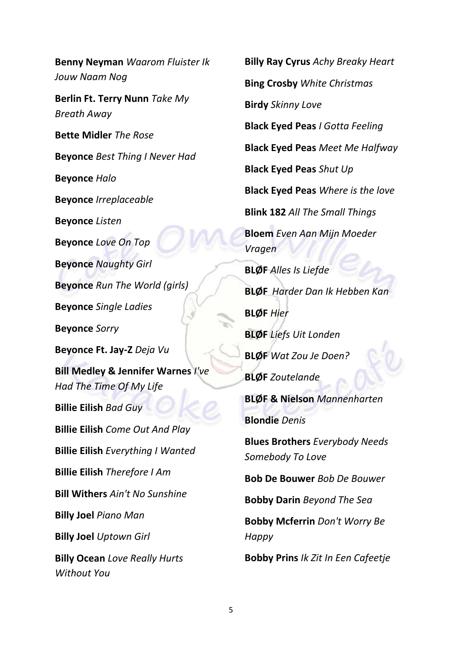**Benny Neyman** *Waarom Fluister Ik Jouw Naam Nog* **Berlin Ft. Terry Nunn** *Take My Breath Away* **Bette Midler** *The Rose* **Beyonce** *Best Thing I Never Had* **Beyonce** *Halo* **Beyonce** *Irreplaceable* **Beyonce** *Listen* **Beyonce** *Love On Top* **Beyonce** *Naughty Girl* **Beyonce** *Run The World (girls)* **Beyonce** *Single Ladies* **Beyonce** *Sorry* **Beyonce Ft. Jay-Z** *Deja Vu* **Bill Medley & Jennifer Warnes** *I've Had The Time Of My Life* **Billie Eilish** *Bad Guy* **Billie Eilish** *Come Out And Play* **Billie Eilish** *Everything I Wanted* **Billie Eilish** *Therefore I Am* **Bill Withers** *Ain't No Sunshine* **Billy Joel** *Piano Man* **Billy Joel** *Uptown Girl* **Billy Ocean** *Love Really Hurts Without You*

**Billy Ray Cyrus** *Achy Breaky Heart* **Bing Crosby** *White Christmas* **Birdy** *Skinny Love* **Black Eyed Peas** *I Gotta Feeling* **Black Eyed Peas** *Meet Me Halfway* **Black Eyed Peas** *Shut Up* **Black Eyed Peas** *Where is the love* **Blink 182** *All The Small Things* **Bloem** *Even Aan Mijn Moeder Vragen* **BLØF** *Alles Is Liefde* **BLØF** *Harder Dan Ik Hebben Kan* **BLØF** *Hier* **BLØF** *Liefs Uit Londen* **BLØF** *Wat Zou Je Doen?* **BLØF** *Zoutelande* **BLØF & Nielson** *Mannenharten* **Blondie** *Denis* **Blues Brothers** *Everybody Needs Somebody To Love* **Bob De Bouwer** *Bob De Bouwer* **Bobby Darin** *Beyond The Sea* **Bobby Mcferrin** *Don't Worry Be Happy* **Bobby Prins** *Ik Zit In Een Cafeetje*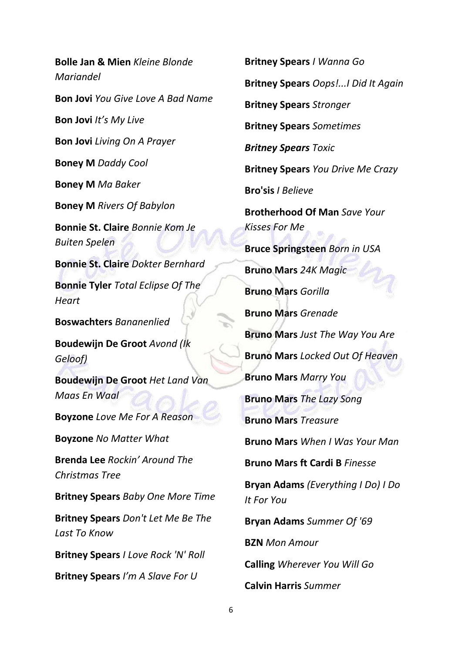**Bolle Jan & Mien** *Kleine Blonde Mariandel* **Bon Jovi** *You Give Love A Bad Name* **Bon Jovi** *It's My Live* **Bon Jovi** *Living On A Prayer* **Boney M** *Daddy Cool* **Boney M** *Ma Baker* **Boney M** *Rivers Of Babylon* **Bonnie St. Claire** *Bonnie Kom Je Buiten Spelen* **Bonnie St. Claire** *Dokter Bernhard* **Bonnie Tyler** *Total Eclipse Of The Heart* **Boswachters** *Bananenlied* **Boudewijn De Groot** *Avond (Ik Geloof)* **Boudewijn De Groot** *Het Land Van Maas En Waal* **Boyzone** *Love Me For A Reason* **Boyzone** *No Matter What* **Brenda Lee** *Rockin' Around The Christmas Tree* **Britney Spears** *Baby One More Time* **Britney Spears** *Don't Let Me Be The Last To Know* **Britney Spears** *I Love Rock 'N' Roll* **Britney Spears** *I'm A Slave For U*

**Britney Spears** *I Wanna Go* **Britney Spears** *Oops!...I Did It Again* **Britney Spears** *Stronger* **Britney Spears** *Sometimes Britney Spears Toxic* **Britney Spears** *You Drive Me Crazy* **Bro'sis** *I Believe* **Brotherhood Of Man** *Save Your Kisses For Me* **Bruce Springsteen** *Born in USA* **Bruno Mars** *24K Magic* **Bruno Mars** *Gorilla* **Bruno Mars** *Grenade* **Bruno Mars** *Just The Way You Are* **Bruno Mars** *Locked Out Of Heaven* **Bruno Mars** *Marry You* **Bruno Mars** *The Lazy Song* **Bruno Mars** *Treasure* **Bruno Mars** *When I Was Your Man* **Bruno Mars ft Cardi B** *Finesse* **Bryan Adams** *(Everything I Do) I Do It For You* **Bryan Adams** *Summer Of '69* **BZN** *Mon Amour* **Calling** *Wherever You Will Go* **Calvin Harris** *Summer*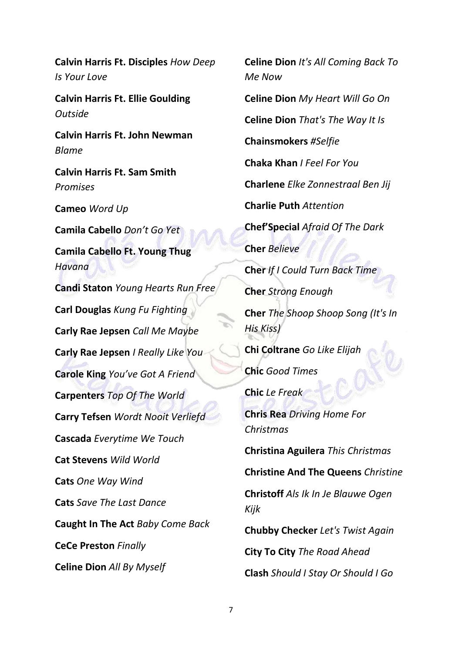**Calvin Harris Ft. Disciples** *How Deep Is Your Love*

**Calvin Harris Ft. Ellie Goulding**  *Outside*

**Calvin Harris Ft. John Newman**  *Blame*

**Calvin Harris Ft. Sam Smith**  *Promises*

**Cameo** *Word Up*

**Camila Cabello** *Don't Go Yet*

**Camila Cabello Ft. Young Thug** *Havana*

**Candi Staton** *Young Hearts Run Free* **Carl Douglas** *Kung Fu Fighting* **Carly Rae Jepsen** *Call Me Maybe* **Carly Rae Jepsen** *I Really Like You* **Carole King** *You've Got A Friend* **Carpenters** *Top Of The World* **Carry Tefsen** *Wordt Nooit Verliefd* **Cascada** *Everytime We Touch* **Cat Stevens** *Wild World* **Cats** *One Way Wind* **Cats** *Save The Last Dance* **Caught In The Act** *Baby Come Back* **CeCe Preston** *Finally* **Celine Dion** *All By Myself*

**Celine Dion** *It's All Coming Back To Me Now* **Celine Dion** *My Heart Will Go On* **Celine Dion** *That's The Way It Is* **Chainsmokers** *#Selfie* **Chaka Khan** *I Feel For You* **Charlene** *Elke Zonnestraal Ben Jij* **Charlie Puth** *Attention* **Chef'Special** *Afraid Of The Dark* **Cher** *Believe* **Cher** *If I Could Turn Back Time* **Cher** *Strong Enough* **Cher** *The Shoop Shoop Song (It's In His Kiss)* **Chi Coltrane** *Go Like Elijah* **Chic** *Good Times* **Chic** *Le Freak* **Chris Rea** *Driving Home For Christmas* **Christina Aguilera** *This Christmas* **Christine And The Queens** *Christine* **Christoff** *Als Ik In Je Blauwe Ogen Kijk* **Chubby Checker** *Let's Twist Again* **City To City** *The Road Ahead* **Clash** *Should I Stay Or Should I Go*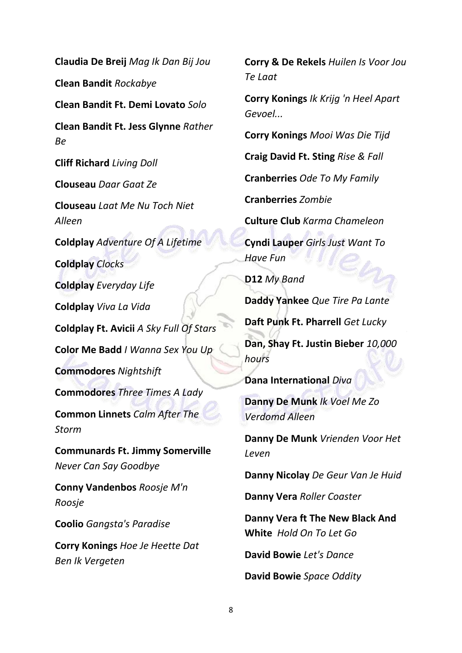**Claudia De Breij** *Mag Ik Dan Bij Jou* **Clean Bandit** *Rockabye* **Clean Bandit Ft. Demi Lovato** *Solo* **Clean Bandit Ft. Jess Glynne** *Rather Be* **Cliff Richard** *Living Doll* **Clouseau** *Daar Gaat Ze* **Clouseau** *Laat Me Nu Toch Niet Alleen* **Coldplay** *Adventure Of A Lifetime* **Coldplay** *Clocks* **Coldplay** *Everyday Life* **Coldplay** *Viva La Vida* **Coldplay Ft. Avicii** *A Sky Full Of Stars* **Color Me Badd** *I Wanna Sex You Up* **Commodores** *Nightshift* **Commodores** *Three Times A Lady* **Common Linnets** *Calm After The Storm* **Communards Ft. Jimmy Somerville**  *Never Can Say Goodbye* **Conny Vandenbos** *Roosje M'n Roosje* **Coolio** *Gangsta's Paradise* **Corry Konings** *Hoe Je Heette Dat Ben Ik Vergeten*

**Corry & De Rekels** *Huilen Is Voor Jou Te Laat*

**Corry Konings** *Ik Krijg 'n Heel Apart Gevoel...*

**Corry Konings** *Mooi Was Die Tijd*

**Craig David Ft. Sting** *Rise & Fall*

**Cranberries** *Ode To My Family*

**Cranberries** *Zombie*

**Culture Club** *Karma Chameleon*

**Cyndi Lauper** *Girls Just Want To Have Fun*

**D12** *My Band*

**Daddy Yankee** *Que Tire Pa Lante*

**Daft Punk Ft. Pharrell** *Get Lucky*

**Dan, Shay Ft. Justin Bieber** *10,000 hours*

**Dana International** *Diva*

**Danny De Munk** *Ik Voel Me Zo Verdomd Alleen*

**Danny De Munk** *Vrienden Voor Het Leven*

**Danny Nicolay** *De Geur Van Je Huid*

**Danny Vera** *Roller Coaster*

**Danny Vera ft The New Black And White** *Hold On To Let Go*

**David Bowie** *Let's Dance*

**David Bowie** *Space Oddity*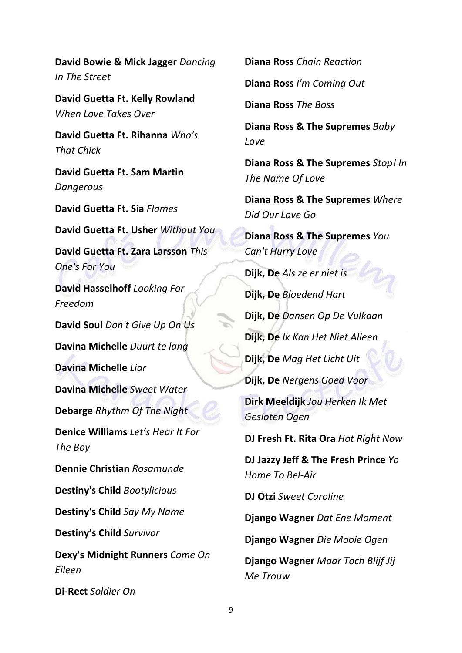**David Bowie & Mick Jagger** *Dancing In The Street*

**David Guetta Ft. Kelly Rowland**  *When Love Takes Over*

**David Guetta Ft. Rihanna** *Who's That Chick*

**David Guetta Ft. Sam Martin**  *Dangerous*

**David Guetta Ft. Sia** *Flames*

**David Guetta Ft. Usher** *Without You*

**David Guetta Ft. Zara Larsson** *This One's For You*

**David Hasselhoff** *Looking For Freedom*

**David Soul** *Don't Give Up On Us*

**Davina Michelle** *Duurt te lang*

**Davina Michelle** *Liar*

**Davina Michelle** *Sweet Water*

**Debarge** *Rhythm Of The Night*

**Denice Williams** *Let's Hear It For The Boy*

**Dennie Christian** *Rosamunde*

**Destiny's Child** *Bootylicious*

**Destiny's Child** *Say My Name*

**Destiny's Child** *Survivor*

**Dexy's Midnight Runners** *Come On Eileen*

**Di-Rect** *Soldier On*

**Diana Ross** *Chain Reaction*

**Diana Ross** *I'm Coming Out*

**Diana Ross** *The Boss*

**Diana Ross & The Supremes** *Baby Love*

**Diana Ross & The Supremes** *Stop! In The Name Of Love*

**Diana Ross & The Supremes** *Where Did Our Love Go*

**Diana Ross & The Supremes** *You Can't Hurry Love*

**Dijk, De** *Als ze er niet is* **Dijk, De** *Bloedend Hart*

**Dijk, De** *Dansen Op De Vulkaan*

**Dijk, De** *Ik Kan Het Niet Alleen*

**Dijk, De** *Mag Het Licht Uit*

**Dijk, De** *Nergens Goed Voor*

**Dirk Meeldijk** *Jou Herken Ik Met Gesloten Ogen*

**DJ Fresh Ft. Rita Ora** *Hot Right Now*

**DJ Jazzy Jeff & The Fresh Prince** *Yo Home To Bel-Air*

**DJ Otzi** *Sweet Caroline*

**Django Wagner** *Dat Ene Moment*

**Django Wagner** *Die Mooie Ogen*

**Django Wagner** *Maar Toch Blijf Jij Me Trouw*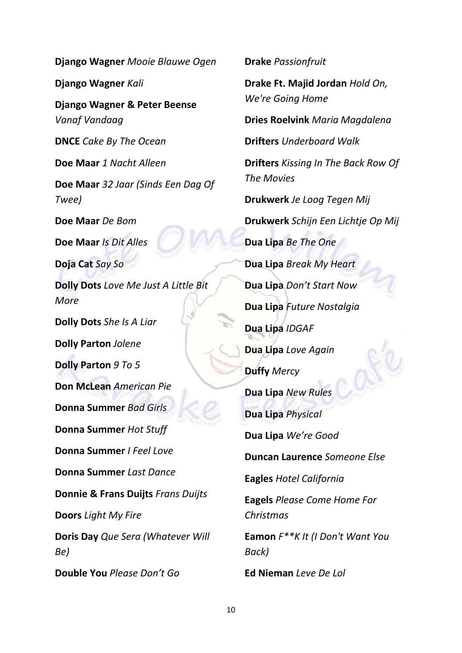**Django Wagner** *Kali* **Django Wagner & Peter Beense**  *Vanaf Vandaag* **DNCE** *Cake By The Ocean* **Doe Maar** *1 Nacht Alleen* **Doe Maar** *32 Jaar (Sinds Een Dag Of Twee)* **Doe Maar** *De Bom* **Doe Maar** *Is Dit Alles* **Doja Cat** *Say So* **Dolly Dots** *Love Me Just A Little Bit More* **Dolly Dots** *She Is A Liar* **Dolly Parton** *Jolene* **Dolly Parton** *9 To 5* **Don McLean** *American Pie* **Donna Summer** *Bad Girls* **Donna Summer** *Hot Stuff* **Donna Summer** *I Feel Love* **Donna Summer** *Last Dance* **Donnie & Frans Duijts** *Frans Duijts* **Doors** *Light My Fire* **Doris Day** *Que Sera (Whatever Will Be)* **Double You** *Please Don't Go*

**Django Wagner** *Mooie Blauwe Ogen*

**Drake Ft. Majid Jordan** *Hold On, We're Going Home* **Dries Roelvink** *Maria Magdalena* **Drifters** *Underboard Walk* **Drifters** *Kissing In The Back Row Of The Movies* **Drukwerk** *Je Loog Tegen Mij* **Drukwerk** *Schijn Een Lichtje Op Mij* **Dua Lipa** *Be The One* **Dua Lipa** *Break My Heart* **Dua Lipa** *Don't Start Now* **Dua Lipa** *Future Nostalgia* **Dua Lipa** *IDGAF* **Dua Lipa** *Love Again* **Duffy** *Mercy* **Dua Lipa** *New Rules* **Dua Lipa** *Physical* **Dua Lipa** *We're Good* **Duncan Laurence** *Someone Else* **Eagles** *Hotel California* **Eagels** *Please Come Home For Christmas* **Eamon** *F\*\*K It (I Don't Want You Back)* **Ed Nieman** *Leve De Lol*

**Drake** *Passionfruit*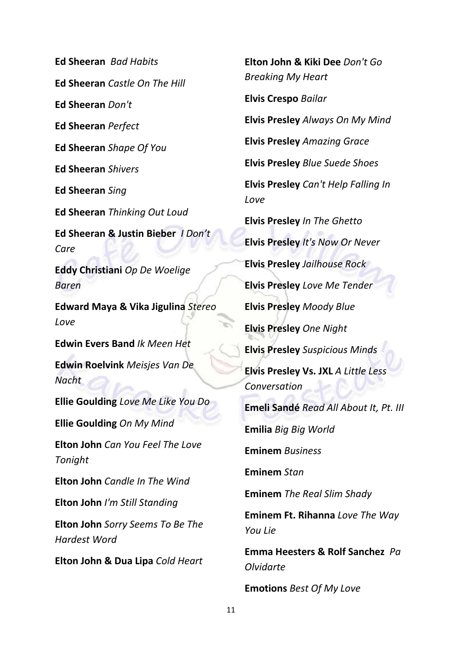**Ed Sheeran** *Bad Habits* **Ed Sheeran** *Castle On The Hill* **Ed Sheeran** *Don't* **Ed Sheeran** *Perfect* **Ed Sheeran** *Shape Of You* **Ed Sheeran** *Shivers* **Ed Sheeran** *Sing* **Ed Sheeran** *Thinking Out Loud* **Ed Sheeran & Justin Bieber** *I Don't Care* **Eddy Christiani** *Op De Woelige Baren* **Edward Maya & Vika Jigulina** *Stereo Love* **Edwin Evers Band** *Ik Meen Het* **Edwin Roelvink** *Meisjes Van De Nacht* **Ellie Goulding** *Love Me Like You Do* **Ellie Goulding** *On My Mind* **Elton John** *Can You Feel The Love Tonight* **Elton John** *Candle In The Wind* **Elton John** *I'm Still Standing* **Elton John** *Sorry Seems To Be The Hardest Word* **Elton John & Dua Lipa** *Cold Heart* 

**Elton John & Kiki Dee** *Don't Go Breaking My Heart* **Elvis Crespo** *Bailar* **Elvis Presley** *Always On My Mind* **Elvis Presley** *Amazing Grace* **Elvis Presley** *Blue Suede Shoes* **Elvis Presley** *Can't Help Falling In Love* **Elvis Presley** *In The Ghetto* **Elvis Presley** *It's Now Or Never* **Elvis Presley** *Jailhouse Rock* **Elvis Presley** *Love Me Tender* **Elvis Presley** *Moody Blue* **Elvis Presley** *One Night* **Elvis Presley** *Suspicious Minds* **Elvis Presley Vs. JXL** *A Little Less Conversation* **Emeli Sandé** *Read All About It, Pt. III* **Emilia** *Big Big World* **Eminem** *Business* **Eminem** *Stan* **Eminem** *The Real Slim Shady* **Eminem Ft. Rihanna** *Love The Way You Lie* **Emma Heesters & Rolf Sanchez** *Pa Olvidarte* **Emotions** *Best Of My Love*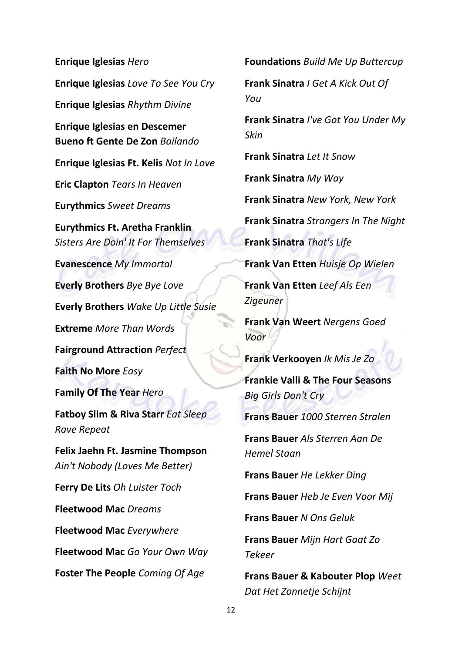**Enrique Iglesias** *Hero* **Enrique Iglesias** *Love To See You Cry* **Enrique Iglesias** *Rhythm Divine* **Enrique Iglesias en Descemer Bueno ft Gente De Zon** *Bailando* **Enrique Iglesias Ft. Kelis** *Not In Love* **Eric Clapton** *Tears In Heaven* **Eurythmics** *Sweet Dreams* **Eurythmics Ft. Aretha Franklin**  *Sisters Are Doin' It For Themselves* **Evanescence** *My Immortal* **Everly Brothers** *Bye Bye Love* **Everly Brothers** *Wake Up Little Susie* **Extreme** *More Than Words* **Fairground Attraction** *Perfect* **Faith No More** *Easy* **Family Of The Year** *Hero* **Fatboy Slim & Riva Starr** *Eat Sleep Rave Repeat* **Felix Jaehn Ft. Jasmine Thompson**  *Ain't Nobody (Loves Me Better)* **Ferry De Lits** *Oh Luister Toch* **Fleetwood Mac** *Dreams* **Fleetwood Mac** *Everywhere* **Fleetwood Mac** *Go Your Own Way* **Foster The People** *Coming Of Age*

**Foundations** *Build Me Up Buttercup*

**Frank Sinatra** *I Get A Kick Out Of You*

**Frank Sinatra** *I've Got You Under My Skin*

**Frank Sinatra** *Let It Snow*

**Frank Sinatra** *My Way*

**Frank Sinatra** *New York, New York*

**Frank Sinatra** *Strangers In The Night*

**Frank Sinatra** *That's Life*

**Frank Van Etten** *Huisje Op Wielen*

**Frank Van Etten** *Leef Als Een Zigeuner*

**Frank Van Weert** *Nergens Goed Voor*

**Frank Verkooyen** *Ik Mis Je Zo*

**Frankie Valli & The Four Seasons**  *Big Girls Don't Cry*

**Frans Bauer** *1000 Sterren Stralen*

**Frans Bauer** *Als Sterren Aan De Hemel Staan*

**Frans Bauer** *He Lekker Ding*

**Frans Bauer** *Heb Je Even Voor Mij*

**Frans Bauer** *N Ons Geluk*

**Frans Bauer** *Mijn Hart Gaat Zo Tekeer*

**Frans Bauer & Kabouter Plop** *Weet Dat Het Zonnetje Schijnt*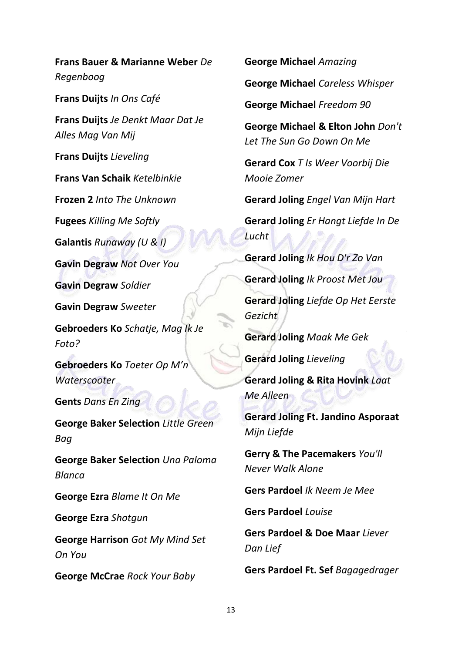**Frans Bauer & Marianne Weber** *De Regenboog*

**Frans Duijts** *In Ons Café* 

**Frans Duijts** *Je Denkt Maar Dat Je Alles Mag Van Mij*

**Frans Duijts** *Lieveling*

**Frans Van Schaik** *Ketelbinkie*

**Frozen 2** *Into The Unknown*

**Fugees** *Killing Me Softly*

**Galantis** *Runaway (U & I)*

**Gavin Degraw** *Not Over You*

**Gavin Degraw** *Soldier*

**Gavin Degraw** *Sweeter*

**Gebroeders Ko** *Schatje, Mag Ik Je Foto?*

**Gebroeders Ko** *Toeter Op M'n Waterscooter*

**Gents** *Dans En Zing*

**George Baker Selection** *Little Green Bag*

**George Baker Selection** *Una Paloma Blanca*

**George Ezra** *Blame It On Me*

**George Ezra** *Shotgun*

**George Harrison** *Got My Mind Set On You*

**George McCrae** *Rock Your Baby*

**George Michael** *Amazing*

**George Michael** *Careless Whisper*

**George Michael** *Freedom 90*

**George Michael & Elton John** *Don't Let The Sun Go Down On Me*

**Gerard Cox** *T Is Weer Voorbij Die Mooie Zomer*

**Gerard Joling** *Engel Van Mijn Hart*

**Gerard Joling** *Er Hangt Liefde In De Lucht*

**Gerard Joling** *Ik Hou D'r Zo Van*

**Gerard Joling** *Ik Proost Met Jou* **Gerard Joling** *Liefde Op Het Eerste Gezicht*

**Gerard Joling** *Maak Me Gek*

**Gerard Joling** *Lieveling*

**Gerard Joling & Rita Hovink** *Laat Me Alleen*

**Gerard Joling Ft. Jandino Asporaat**  *Mijn Liefde*

**Gerry & The Pacemakers** *You'll Never Walk Alone*

**Gers Pardoel** *Ik Neem Je Mee*

**Gers Pardoel** *Louise*

**Gers Pardoel & Doe Maar** *Liever Dan Lief*

**Gers Pardoel Ft. Sef** *Bagagedrager*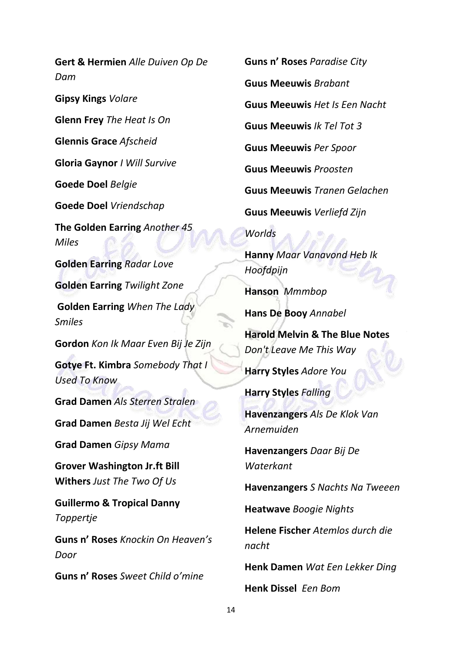**Gert & Hermien** *Alle Duiven Op De Dam* **Gipsy Kings** *Volare* **Glenn Frey** *The Heat Is On* **Glennis Grace** *Afscheid* **Gloria Gaynor** *I Will Survive* **Goede Doel** *Belgie* **Goede Doel** *Vriendschap* **The Golden Earring** *Another 45 Miles* **Golden Earring** *Radar Love* **Golden Earring** *Twilight Zone* **Golden Earring** *When The Lady Smiles* **Gordon** *Kon Ik Maar Even Bij Je Zijn* **Gotye Ft. Kimbra** *Somebody That I Used To Know* **Grad Damen** *Als Sterren Stralen* **Grad Damen** *Besta Jij Wel Echt* **Grad Damen** *Gipsy Mama* **Grover Washington Jr.ft Bill Withers** *Just The Two Of Us* **Guillermo & Tropical Danny**  *Toppertje* **Guns n' Roses** *Knockin On Heaven's Door*

**Guns n' Roses** *Sweet Child o'mine*

**Guns n' Roses** *Paradise City* **Guus Meeuwis** *Brabant* **Guus Meeuwis** *Het Is Een Nacht* **Guus Meeuwis** *Ik Tel Tot 3* **Guus Meeuwis** *Per Spoor* **Guus Meeuwis** *Proosten* **Guus Meeuwis** *Tranen Gelachen* **Guus Meeuwis** *Verliefd Zijn*

## *Worlds*

**Hanny** *Maar Vanavond Heb Ik Hoofdpijn*

**Hanson** *Mmmbop*

**Hans De Booy** *Annabel*

**Harold Melvin & The Blue Notes**  *Don't Leave Me This Way*

**Harry Styles** *Adore You*

**Harry Styles** *Falling*

**Havenzangers** *Als De Klok Van Arnemuiden*

**Havenzangers** *Daar Bij De Waterkant*

**Havenzangers** *S Nachts Na Tweeen*

**Heatwave** *Boogie Nights*

**Helene Fischer** *Atemlos durch die nacht*

**Henk Damen** *Wat Een Lekker Ding*

**Henk Dissel** *Een Bom*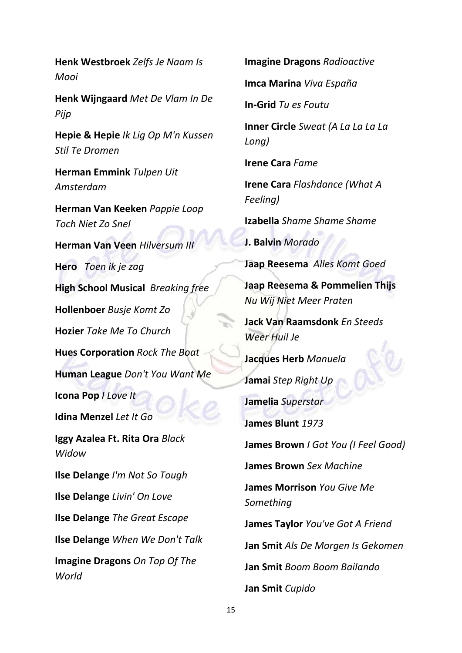**Henk Westbroek** *Zelfs Je Naam Is Mooi*

**Henk Wijngaard** *Met De Vlam In De Pijp*

**Hepie & Hepie** *Ik Lig Op M'n Kussen Stil Te Dromen*

**Herman Emmink** *Tulpen Uit Amsterdam*

**Herman Van Keeken** *Pappie Loop Toch Niet Zo Snel*

**Herman Van Veen** *Hilversum III* **Hero** *Toen ik je zag* **High School Musical** *Breaking free* **Hollenboer** *Busje Komt Zo* **Hozier** *Take Me To Church* **Hues Corporation** *Rock The Boat* **Human League** *Don't You Want Me* **Icona Pop** *I Love It* **Idina Menzel** *Let It Go* **Iggy Azalea Ft. Rita Ora** *Black Widow* **Ilse Delange** *I'm Not So Tough* **Ilse Delange** *Livin' On Love* **Ilse Delange** *The Great Escape*

**Ilse Delange** *When We Don't Talk*

**Imagine Dragons** *On Top Of The World*

**Imagine Dragons** *Radioactive*

**Imca Marina** *Viva España*

**In-Grid** *Tu es Foutu*

**Inner Circle** *Sweat (A La La La La Long)*

**Irene Cara** *Fame*

**Irene Cara** *Flashdance (What A Feeling)*

**Izabella** *Shame Shame Shame*

**J. Balvin** *Morado*

**Jaap Reesema** *Alles Komt Goed*

**Jaap Reesema & Pommelien Thijs** *Nu Wij Niet Meer Praten*

**Jack Van Raamsdonk** *En Steeds Weer Huil Je*

**Jacques Herb** *Manuela*

**Jamai** *Step Right Up* **Jamelia** *Superstar*

**James Blunt** *1973*

**James Brown** *I Got You (I Feel Good)*

**James Brown** *Sex Machine*

**James Morrison** *You Give Me Something*

**James Taylor** *You've Got A Friend*

**Jan Smit** *Als De Morgen Is Gekomen*

**Jan Smit** *Boom Boom Bailando*

**Jan Smit** *Cupido*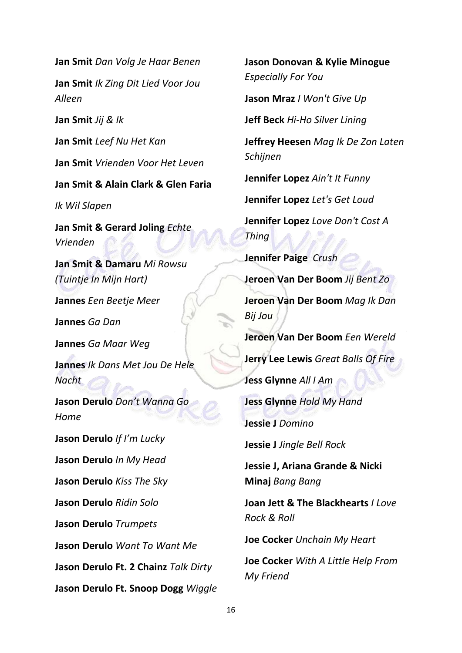**Jan Smit** *Dan Volg Je Haar Benen*

**Jan Smit** *Ik Zing Dit Lied Voor Jou Alleen*

**Jan Smit** *Jij & Ik*

**Jan Smit** *Leef Nu Het Kan*

**Jan Smit** *Vrienden Voor Het Leven*

**Jan Smit & Alain Clark & Glen Faria**

*Ik Wil Slapen*

**Jan Smit & Gerard Joling** *Echte Vrienden*

**Jan Smit & Damaru** *Mi Rowsu (Tuintje In Mijn Hart)*

**Jannes** *Een Beetje Meer*

**Jannes** *Ga Dan*

**Jannes** *Ga Maar Weg*

**Jannes** *Ik Dans Met Jou De Hele Nacht*

**Jason Derulo** *Don't Wanna Go Home*

**Jason Derulo** *If I'm Lucky* **Jason Derulo** *In My Head* **Jason Derulo** *Kiss The Sky* **Jason Derulo** *Ridin Solo* **Jason Derulo** *Trumpets* **Jason Derulo** *Want To Want Me* **Jason Derulo Ft. 2 Chainz** *Talk Dirty*

**Jason Derulo Ft. Snoop Dogg** *Wiggle*

**Jason Donovan & Kylie Minogue**  *Especially For You*

**Jason Mraz** *I Won't Give Up*

**Jeff Beck** *Hi-Ho Silver Lining*

**Jeffrey Heesen** *Mag Ik De Zon Laten Schijnen*

**Jennifer Lopez** *Ain't It Funny*

**Jennifer Lopez** *Let's Get Loud*

**Jennifer Lopez** *Love Don't Cost A Thing*

**Jennifer Paige** *Crush* **Jeroen Van Der Boom** *Jij Bent Zo*

**Jeroen Van Der Boom** *Mag Ik Dan Bij Jou*

**Jeroen Van Der Boom** *Een Wereld*

**Jerry Lee Lewis** *Great Balls Of Fire*

**Jess Glynne** *All I Am*

**Jess Glynne** *Hold My Hand*

**Jessie J** *Domino*

**Jessie J** *Jingle Bell Rock*

**Jessie J, Ariana Grande & Nicki Minaj** *Bang Bang*

**Joan Jett & The Blackhearts** *I Love Rock & Roll*

**Joe Cocker** *Unchain My Heart*

**Joe Cocker** *With A Little Help From My Friend*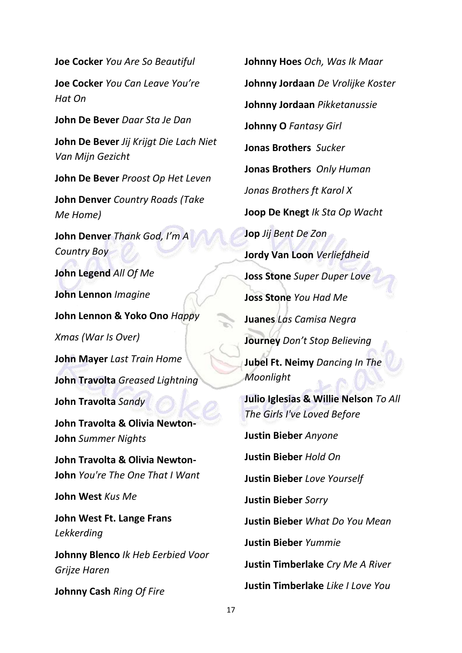**Joe Cocker** *You Are So Beautiful*

**Joe Cocker** *You Can Leave You're Hat On*

**John De Bever** *Daar Sta Je Dan*

**John De Bever** *Jij Krijgt Die Lach Niet Van Mijn Gezicht*

**John De Bever** *Proost Op Het Leven*

**John Denver** *Country Roads (Take Me Home)*

**John Denver** *Thank God, I'm A Country Boy*

**John Legend** *All Of Me* **John Lennon** *Imagine*

**John Lennon & Yoko Ono** *Happy* 

*Xmas (War Is Over)*

**John Mayer** *Last Train Home*

**John Travolta** *Greased Lightning*

**John Travolta** *Sandy*

**John Travolta & Olivia Newton-John** *Summer Nights*

**John Travolta & Olivia Newton-John** *You're The One That I Want*

**John West** *Kus Me*

**John West Ft. Lange Frans**  *Lekkerding*

**Johnny Blenco** *Ik Heb Eerbied Voor Grijze Haren*

**Johnny Cash** *Ring Of Fire*

**Johnny Hoes** *Och, Was Ik Maar* **Johnny Jordaan** *De Vrolijke Koster* **Johnny Jordaan** *Pikketanussie* **Johnny O** *Fantasy Girl* **Jonas Brothers** *Sucker* **Jonas Brothers** *Only Human Jonas Brothers ft Karol X* **Joop De Knegt** *Ik Sta Op Wacht* **Jop** *Jij Bent De Zon* **Jordy Van Loon** *Verliefdheid* **Joss Stone** *Super Duper Love* **Joss Stone** *You Had Me* **Juanes** *Las Camisa Negra* **Journey** *Don't Stop Believing*  **Jubel Ft. Neimy** *Dancing In The Moonlight* **Julio Iglesias & Willie Nelson** *To All The Girls I've Loved Before* **Justin Bieber** *Anyone* **Justin Bieber** *Hold On* **Justin Bieber** *Love Yourself* **Justin Bieber** *Sorry* **Justin Bieber** *What Do You Mean* **Justin Bieber** *Yummie*

**Justin Timberlake** *Cry Me A River*

**Justin Timberlake** *Like I Love You*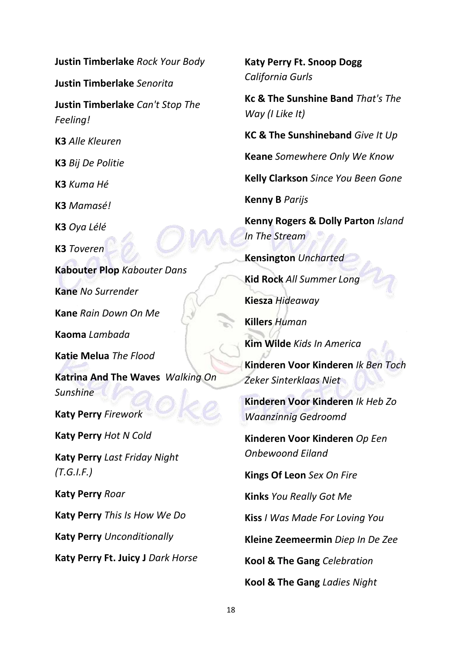**Justin Timberlake** *Rock Your Body* **Justin Timberlake** *Senorita* **Justin Timberlake** *Can't Stop The Feeling!* **K3** *Alle Kleuren* **K3** *Bij De Politie* **K3** *Kuma Hé* **K3** *Mamasé!* **K3** *Oya Lélé* **K3** *Toveren* **Kabouter Plop** *Kabouter Dans* **Kane** *No Surrender* **Kane** *Rain Down On Me* **Kaoma** *Lambada* **Katie Melua** *The Flood* **Katrina And The Waves** *Walking On Sunshine* **Katy Perry** *Firework* **Katy Perry** *Hot N Cold* **Katy Perry** *Last Friday Night (T.G.I.F.)* **Katy Perry** *Roar* **Katy Perry** *This Is How We Do* **Katy Perry** *Unconditionally* **Katy Perry Ft. Juicy J** *Dark Horse*

**Katy Perry Ft. Snoop Dogg** *California Gurls* **Kc & The Sunshine Band** *That's The Way (I Like It)* **KC & The Sunshineband** *Give It Up* **Keane** *Somewhere Only We Know* **Kelly Clarkson** *Since You Been Gone* **Kenny B** *Parijs* **Kenny Rogers & Dolly Parton** *Island In The Stream* **Kensington** *Uncharted* **Kid Rock** *All Summer Long* **Kiesza** *Hideaway* **Killers** *Human* **Kim Wilde** *Kids In America* **Kinderen Voor Kinderen** *Ik Ben Toch Zeker Sinterklaas Niet* **Kinderen Voor Kinderen** *Ik Heb Zo Waanzinnig Gedroomd* **Kinderen Voor Kinderen** *Op Een Onbewoond Eiland* **Kings Of Leon** *Sex On Fire* **Kinks** *You Really Got Me* **Kiss** *I Was Made For Loving You* **Kleine Zeemeermin** *Diep In De Zee* **Kool & The Gang** *Celebration* **Kool & The Gang** *Ladies Night*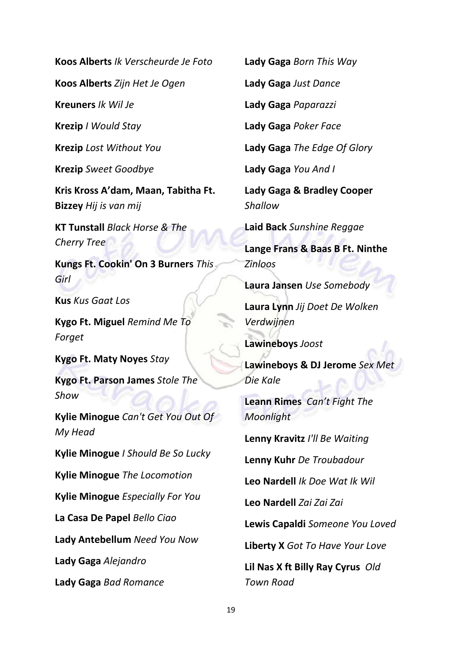**Koos Alberts** *Ik Verscheurde Je Foto*

**Koos Alberts** *Zijn Het Je Ogen*

**Kreuners** *Ik Wil Je*

**Krezip** *I Would Stay*

**Krezip** *Lost Without You*

**Krezip** *Sweet Goodbye*

**Kris Kross A'dam, Maan, Tabitha Ft. Bizzey** *Hij is van mij*

**KT Tunstall** *Black Horse & The Cherry Tree*

**Kungs Ft. Cookin' On 3 Burners** *This Girl*

**Kus** *Kus Gaat Los*

**Kygo Ft. Miguel** *Remind Me To Forget*

**Kygo Ft. Maty Noyes** *Stay*

**Kygo Ft. Parson James** *Stole The Show*

**Kylie Minogue** *Can't Get You Out Of My Head*

**Kylie Minogue** *I Should Be So Lucky*

**Kylie Minogue** *The Locomotion*

**Kylie Minogue** *Especially For You*

**La Casa De Papel** *Bello Ciao*

**Lady Antebellum** *Need You Now*

**Lady Gaga** *Alejandro*

**Lady Gaga** *Bad Romance*

**Lady Gaga** *Born This Way*

**Lady Gaga** *Just Dance*

**Lady Gaga** *Paparazzi*

**Lady Gaga** *Poker Face*

**Lady Gaga** *The Edge Of Glory*

**Lady Gaga** *You And I*

**Lady Gaga & Bradley Cooper** *Shallow*

**Laid Back** *Sunshine Reggae*

**Lange Frans & Baas B Ft. Ninthe**  *Zinloos*

**Laura Jansen** *Use Somebody*

**Laura Lynn** *Jij Doet De Wolken Verdwijnen*

**Lawineboys** *Joost*

**Lawineboys & DJ Jerome** *Sex Met Die Kale*

**Leann Rimes** *Can't Fight The Moonlight*

**Lenny Kravitz** *I'll Be Waiting*

**Lenny Kuhr** *De Troubadour*

**Leo Nardell** *Ik Doe Wat Ik Wil*

**Leo Nardell** *Zai Zai Zai*

**Lewis Capaldi** *Someone You Loved*

**Liberty X** *Got To Have Your Love*

**Lil Nas X ft Billy Ray Cyrus** *Old Town Road*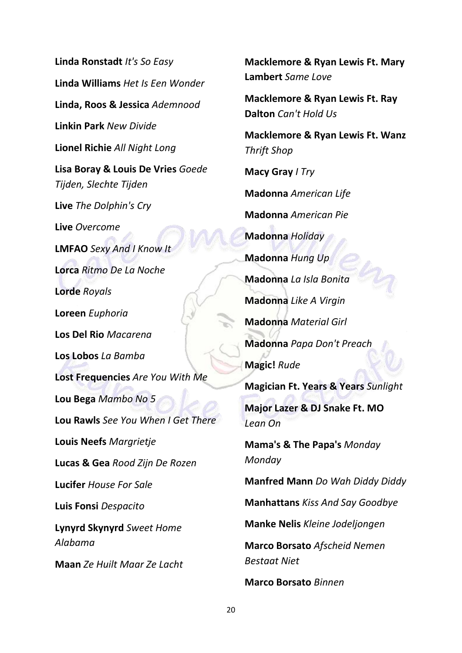**Linda Ronstadt** *It's So Easy* **Linda Williams** *Het Is Een Wonder* **Linda, Roos & Jessica** *Ademnood* **Linkin Park** *New Divide* **Lionel Richie** *All Night Long* **Lisa Boray & Louis De Vries** *Goede Tijden, Slechte Tijden* **Live** *The Dolphin's Cry* **Live** *Overcome* **LMFAO** *Sexy And I Know It* **Lorca** *Ritmo De La Noche* **Lorde** *Royals* **Loreen** *Euphoria* **Los Del Rio** *Macarena* **Los Lobos** *La Bamba* **Lost Frequencies** *Are You With Me* **Lou Bega** *Mambo No 5* **Lou Rawls** *See You When I Get There* **Louis Neefs** *Margrietje* **Lucas & Gea** *Rood Zijn De Rozen* **Lucifer** *House For Sale* **Luis Fonsi** *Despacito* **Lynyrd Skynyrd** *Sweet Home Alabama* **Maan** *Ze Huilt Maar Ze Lacht*

**Macklemore & Ryan Lewis Ft. Mary Lambert** *Same Love* **Macklemore & Ryan Lewis Ft. Ray Dalton** *Can't Hold Us* **Macklemore & Ryan Lewis Ft. Wanz**  *Thrift Shop* **Macy Gray** *I Try* **Madonna** *American Life* **Madonna** *American Pie* **Madonna** *Holiday* **Madonna** *Hung Up* **Madonna** *La Isla Bonita* **Madonna** *Like A Virgin* **Madonna** *Material Girl* **Madonna** *Papa Don't Preach* **Magic!** *Rude* **Magician Ft. Years & Years** *Sunlight* **Major Lazer & DJ Snake Ft. MO**  *Lean On*

**Mama's & The Papa's** *Monday Monday*

**Manfred Mann** *Do Wah Diddy Diddy*

**Manhattans** *Kiss And Say Goodbye*

**Manke Nelis** *Kleine Jodeljongen*

**Marco Borsato** *Afscheid Nemen Bestaat Niet*

**Marco Borsato** *Binnen*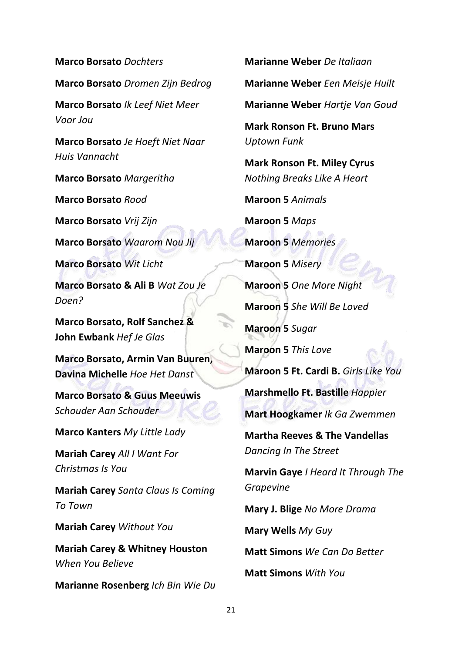**Marco Borsato** *Dochters* **Marco Borsato** *Dromen Zijn Bedrog* **Marco Borsato** *Ik Leef Niet Meer Voor Jou* **Marco Borsato** *Je Hoeft Niet Naar Huis Vannacht* **Marco Borsato** *Margeritha* **Marco Borsato** *Rood* **Marco Borsato** *Vrij Zijn* **Marco Borsato** *Waarom Nou Jij* **Marco Borsato** *Wit Licht* **Marco Borsato & Ali B** *Wat Zou Je Doen?* **Marco Borsato, Rolf Sanchez & John Ewbank** *Hef Je Glas* **Marco Borsato, Armin Van Buuren, Davina Michelle** *Hoe Het Danst* **Marco Borsato & Guus Meeuwis**  *Schouder Aan Schouder* **Marco Kanters** *My Little Lady* **Mariah Carey** *All I Want For Christmas Is You* **Mariah Carey** *Santa Claus Is Coming To Town* **Mariah Carey** *Without You* **Mariah Carey & Whitney Houston**  *When You Believe* **Marianne Rosenberg** *Ich Bin Wie Du* **Marianne Weber** *De Italiaan* **Marianne Weber** *Een Meisje Huilt*

**Marianne Weber** *Hartje Van Goud* **Mark Ronson Ft. Bruno Mars** *Uptown Funk* **Mark Ronson Ft. Miley Cyrus** *Nothing Breaks Like A Heart* **Maroon 5** *Animals* **Maroon 5** *Maps* **Maroon 5** *Memories* **Maroon 5** *Misery* **Maroon 5** *One More Night* **Maroon 5** *She Will Be Loved* **Maroon 5** *Sugar* **Maroon 5** *This Love* **Maroon 5 Ft. Cardi B.** *Girls Like You* **Marshmello Ft. Bastille** *Happier* **Mart Hoogkamer** *Ik Ga Zwemmen* **Martha Reeves & The Vandellas**  *Dancing In The Street* **Marvin Gaye** *I Heard It Through The Grapevine* **Mary J. Blige** *No More Drama* **Mary Wells** *My Guy* **Matt Simons** *We Can Do Better*

**Matt Simons** *With You*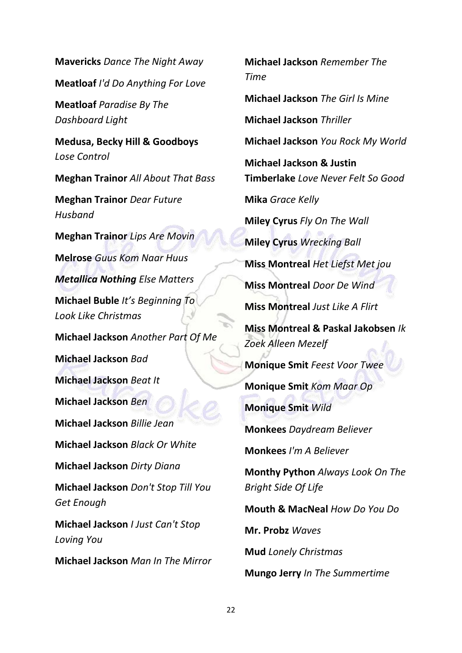**Mavericks** *Dance The Night Away* **Meatloaf** *I'd Do Anything For Love* **Meatloaf** *Paradise By The Dashboard Light* **Medusa, Becky Hill & Goodboys** *Lose Control* **Meghan Trainor** *All About That Bass* **Meghan Trainor** *Dear Future Husband* **Meghan Trainor** *Lips Are Movin* **Melrose** *Guus Kom Naar Huus Metallica Nothing Else Matters* **Michael Buble** *It's Beginning To Look Like Christmas* **Michael Jackson** *Another Part Of Me* **Michael Jackson** *Bad* **Michael Jackson** *Beat It* **Michael Jackson** *Ben* **Michael Jackson** *Billie Jean* **Michael Jackson** *Black Or White* **Michael Jackson** *Dirty Diana* **Michael Jackson** *Don't Stop Till You Get Enough* **Michael Jackson** *I Just Can't Stop Loving You* **Michael Jackson** *Man In The Mirror*

*Time* **Michael Jackson** *The Girl Is Mine* **Michael Jackson** *Thriller* **Michael Jackson** *You Rock My World* **Michael Jackson & Justin Timberlake** *Love Never Felt So Good* **Mika** *Grace Kelly* **Miley Cyrus** *Fly On The Wall* **Miley Cyrus** *Wrecking Ball* **Miss Montreal** *Het Liefst Met jou* **Miss Montreal** *Door De Wind* **Miss Montreal** *Just Like A Flirt* **Miss Montreal & Paskal Jakobsen** *Ik Zoek Alleen Mezelf* **Monique Smit** *Feest Voor Twee* **Monique Smit** *Kom Maar Op* **Monique Smit** *Wild* **Monkees** *Daydream Believer* **Monkees** *I'm A Believer* **Monthy Python** *Always Look On The Bright Side Of Life* **Mouth & MacNeal** *How Do You Do* **Mr. Probz** *Waves* **Mud** *Lonely Christmas* **Mungo Jerry** *In The Summertime*

**Michael Jackson** *Remember The*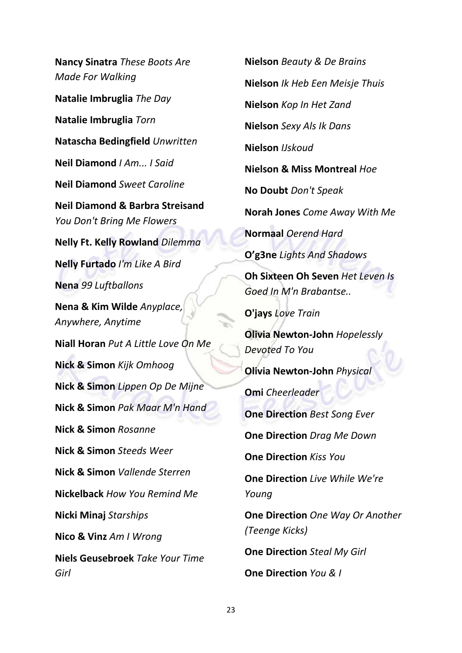**Nancy Sinatra** *These Boots Are Made For Walking* **Natalie Imbruglia** *The Day* **Natalie Imbruglia** *Torn* **Natascha Bedingfield** *Unwritten* **Neil Diamond** *I Am... I Said* **Neil Diamond** *Sweet Caroline* **Neil Diamond & Barbra Streisand**  *You Don't Bring Me Flowers* **Nelly Ft. Kelly Rowland** *Dilemma* **Nelly Furtado** *I'm Like A Bird* **Nena** *99 Luftballons* **Nena & Kim Wilde** *Anyplace, Anywhere, Anytime* **Niall Horan** *Put A Little Love On Me* **Nick & Simon** *Kijk Omhoog* **Nick & Simon** *Lippen Op De Mijne* **Nick & Simon** *Pak Maar M'n Hand* **Nick & Simon** *Rosanne* **Nick & Simon** *Steeds Weer* **Nick & Simon** *Vallende Sterren* **Nickelback** *How You Remind Me* **Nicki Minaj** *Starships* **Nico & Vinz** *Am I Wrong* **Niels Geusebroek** *Take Your Time Girl*

**Nielson** *Beauty & De Brains* **Nielson** *Ik Heb Een Meisje Thuis* **Nielson** *Kop In Het Zand* **Nielson** *Sexy Als Ik Dans* **Nielson** *IJskoud* **Nielson & Miss Montreal** *Hoe* **No Doubt** *Don't Speak* **Norah Jones** *Come Away With Me* **Normaal** *Oerend Hard* **O'g3ne** *Lights And Shadows* **Oh Sixteen Oh Seven** *Het Leven Is Goed In M'n Brabantse..* **O'jays** *Love Train* **Olivia Newton-John** *Hopelessly Devoted To You* **Olivia Newton-John** *Physical* **Omi** *Cheerleader* **One Direction** *Best Song Ever* **One Direction** *Drag Me Down* **One Direction** *Kiss You* **One Direction** *Live While We're Young* **One Direction** *One Way Or Another (Teenge Kicks)* **One Direction** *Steal My Girl* **One Direction** *You & I*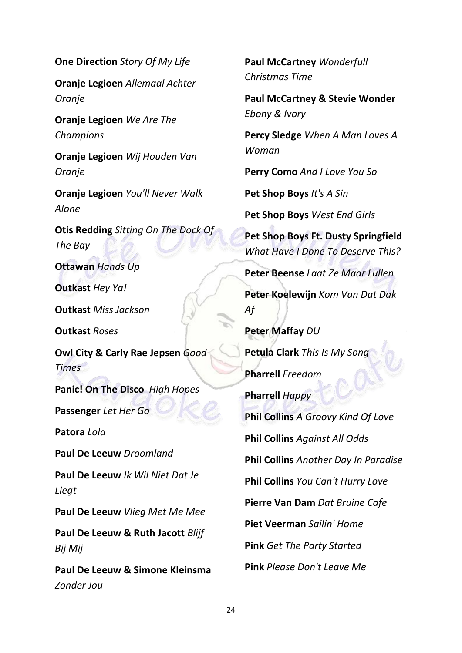**One Direction** *Story Of My Life*

**Oranje Legioen** *Allemaal Achter Oranje*

**Oranje Legioen** *We Are The Champions*

**Oranje Legioen** *Wij Houden Van Oranje*

**Oranje Legioen** *You'll Never Walk Alone*

**Otis Redding** *Sitting On The Dock Of The Bay*

**Ottawan** *Hands Up*

**Outkast** *Hey Ya!*

**Outkast** *Miss Jackson*

**Outkast** *Roses*

**Owl City & Carly Rae Jepsen** *Good Times*

**Panic! On The Disco** *High Hopes*

**Passenger** *Let Her Go*

**Patora** *Lola*

**Paul De Leeuw** *Droomland*

**Paul De Leeuw** *Ik Wil Niet Dat Je Liegt*

**Paul De Leeuw** *Vlieg Met Me Mee*

**Paul De Leeuw & Ruth Jacott** *Blijf Bij Mij*

**Paul De Leeuw & Simone Kleinsma** *Zonder Jou*

**Paul McCartney** *Wonderfull Christmas Time*

**Paul McCartney & Stevie Wonder**  *Ebony & Ivory*

**Percy Sledge** *When A Man Loves A Woman*

**Perry Como** *And I Love You So*

**Pet Shop Boys** *It's A Sin*

**Pet Shop Boys** *West End Girls*

**Pet Shop Boys Ft. Dusty Springfield** *What Have I Done To Deserve This?*

**Peter Beense** *Laat Ze Maar Lullen*

**Peter Koelewijn** *Kom Van Dat Dak Af*

**Peter Maffay** *DU* **Petula Clark** *This Is My Song* **Pharrell** *Freedom* **Pharrell** *Happy* **Phil Collins** *A Groovy Kind Of Love* **Phil Collins** *Against All Odds* **Phil Collins** *Another Day In Paradise* **Phil Collins** *You Can't Hurry Love* **Pierre Van Dam** *Dat Bruine Cafe* **Piet Veerman** *Sailin' Home* **Pink** *Get The Party Started* **Pink** *Please Don't Leave Me*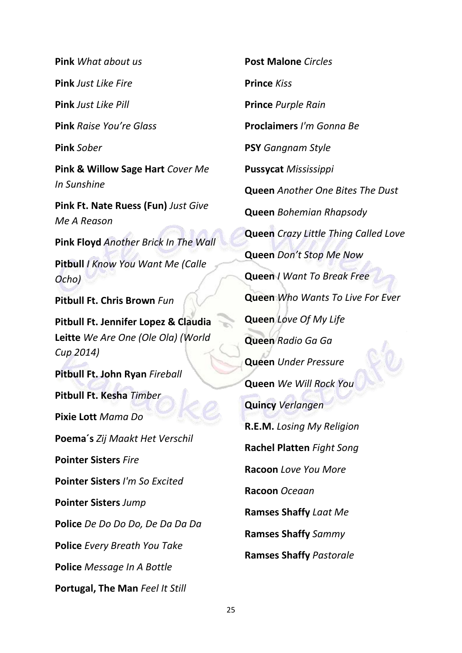**Pink** *What about us* **Pink** *Just Like Fire* **Pink** *Just Like Pill* **Pink** *Raise You're Glass* **Pink** *Sober* **Pink & Willow Sage Hart** *Cover Me In Sunshine* **Pink Ft. Nate Ruess (Fun)** *Just Give Me A Reason* **Pink Floyd** *Another Brick In The Wall* **Pitbull** *I Know You Want Me (Calle Ocho)* **Pitbull Ft. Chris Brown** *Fun* **Pitbull Ft. Jennifer Lopez & Claudia Leitte** *We Are One (Ole Ola) (World Cup 2014)* **Pitbull Ft. John Ryan** *Fireball* **Pitbull Ft. Kesha** *Timber* **Pixie Lott** *Mama Do* **Poema´s** *Zij Maakt Het Verschil* **Pointer Sisters** *Fire* **Pointer Sisters** *I'm So Excited* **Pointer Sisters** *Jump* **Police** *De Do Do Do, De Da Da Da* **Police** *Every Breath You Take* **Police** *Message In A Bottle* **Portugal, The Man** *Feel It Still*

**Post Malone** *Circles* **Prince** *Kiss* **Prince** *Purple Rain* **Proclaimers** *I'm Gonna Be* **PSY** *Gangnam Style* **Pussycat** *Mississippi* **Queen** *Another One Bites The Dust* **Queen** *Bohemian Rhapsody* **Queen** *Crazy Little Thing Called Love* **Queen** *Don't Stop Me Now* **Queen** *I Want To Break Free* **Queen** *Who Wants To Live For Ever* **Queen** *Love Of My Life* **Queen** *Radio Ga Ga* **Queen** *Under Pressure* **Queen** *We Will Rock You* **Quincy** *Verlangen* **R.E.M.** *Losing My Religion* **Rachel Platten** *Fight Song* **Racoon** *Love You More* **Racoon** *Oceaan* **Ramses Shaffy** *Laat Me* **Ramses Shaffy** *Sammy* **Ramses Shaffy** *Pastorale*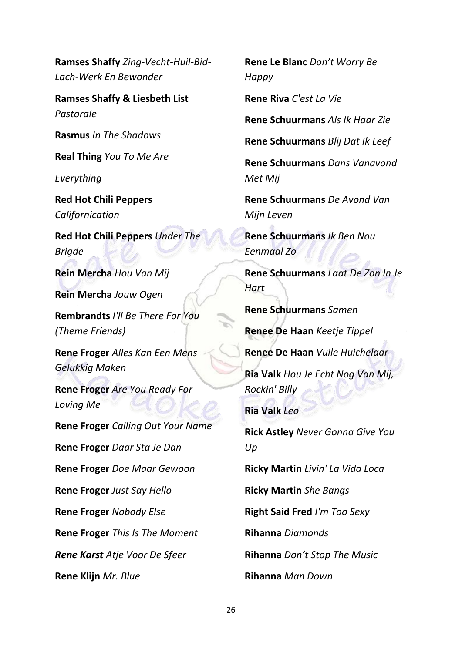**Ramses Shaffy** *Zing-Vecht-Huil-Bid-Lach-Werk En Bewonder*

**Ramses Shaffy & Liesbeth List** *Pastorale*

**Rasmus** *In The Shadows*

**Real Thing** *You To Me Are* 

*Everything*

**Red Hot Chili Peppers**  *Californication*

**Red Hot Chili Peppers** *Under The Brigde*

**Rein Mercha** *Hou Van Mij*

**Rein Mercha** *Jouw Ogen*

**Rembrandts** *I'll Be There For You (Theme Friends)*

**Rene Froger** *Alles Kan Een Mens Gelukkig Maken*

**Rene Froger** *Are You Ready For Loving Me*

**Rene Froger** *Calling Out Your Name* **Rene Froger** *Daar Sta Je Dan* **Rene Froger** *Doe Maar Gewoon* **Rene Froger** *Just Say Hello* **Rene Froger** *Nobody Else* **Rene Froger** *This Is The Moment Rene Karst Atje Voor De Sfeer* **Rene Klijn** *Mr. Blue*

**Rene Le Blanc** *Don't Worry Be Happy*

**Rene Riva** *C'est La Vie*

**Rene Schuurmans** *Als Ik Haar Zie*

**Rene Schuurmans** *Blij Dat Ik Leef*

**Rene Schuurmans** *Dans Vanavond Met Mij*

**Rene Schuurmans** *De Avond Van Mijn Leven*

**Rene Schuurmans** *Ik Ben Nou Eenmaal Zo*

**Rene Schuurmans** *Laat De Zon In Je Hart*

**Rene Schuurmans** *Samen*

**Renee De Haan** *Keetje Tippel*

**Renee De Haan** *Vuile Huichelaar*

**Ria Valk** *Hou Je Echt Nog Van Mij, Rockin' Billy*

**Ria Valk** *Leo*

**Rick Astley** *Never Gonna Give You Up*

**Ricky Martin** *Livin' La Vida Loca*

**Ricky Martin** *She Bangs*

**Right Said Fred** *I'm Too Sexy*

**Rihanna** *Diamonds*

**Rihanna** *Don't Stop The Music*

**Rihanna** *Man Down*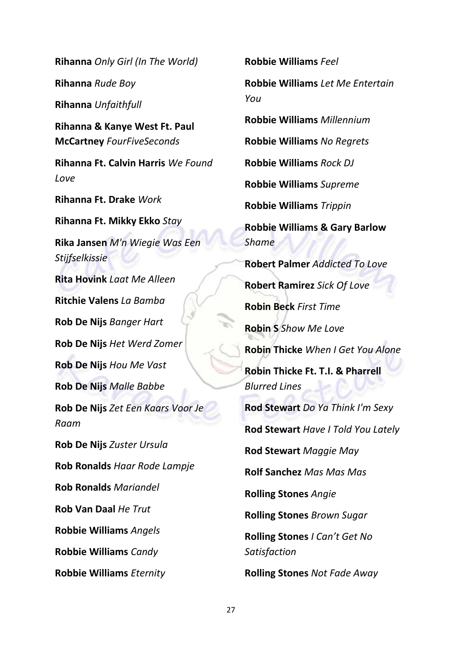**Rihanna** *Only Girl (In The World)* **Rihanna** *Rude Boy* **Rihanna** *Unfaithfull* **Rihanna & Kanye West Ft. Paul McCartney** *FourFiveSeconds* **Rihanna Ft. Calvin Harris** *We Found Love* **Rihanna Ft. Drake** *Work* **Rihanna Ft. Mikky Ekko** *Stay* **Rika Jansen** *M'n Wiegie Was Een Stijfselkissie* **Rita Hovink** *Laat Me Alleen* **Ritchie Valens** *La Bamba* **Rob De Nijs** *Banger Hart* **Rob De Nijs** *Het Werd Zomer* **Rob De Nijs** *Hou Me Vast* **Rob De Nijs** *Malle Babbe* **Rob De Nijs** *Zet Een Kaars Voor Je Raam* **Rob De Nijs** *Zuster Ursula* **Rob Ronalds** *Haar Rode Lampje* **Rob Ronalds** *Mariandel* **Rob Van Daal** *He Trut* **Robbie Williams** *Angels* **Robbie Williams** *Candy* **Robbie Williams** *Eternity*

**Robbie Williams** *Feel* **Robbie Williams** *Let Me Entertain You* **Robbie Williams** *Millennium* **Robbie Williams** *No Regrets* **Robbie Williams** *Rock DJ* **Robbie Williams** *Supreme* **Robbie Williams** *Trippin* **Robbie Williams & Gary Barlow**  *Shame* **Robert Palmer** *Addicted To Love* **Robert Ramirez** *Sick Of Love* **Robin Beck** *First Time* **Robin S** *Show Me Love* **Robin Thicke** *When I Get You Alone* **Robin Thicke Ft. T.I. & Pharrell**  *Blurred Lines* **Rod Stewart** *Do Ya Think I'm Sexy* **Rod Stewart** *Have I Told You Lately* **Rod Stewart** *Maggie May* **Rolf Sanchez** *Mas Mas Mas* **Rolling Stones** *Angie* **Rolling Stones** *Brown Sugar* **Rolling Stones** *I Can't Get No Satisfaction* **Rolling Stones** *Not Fade Away*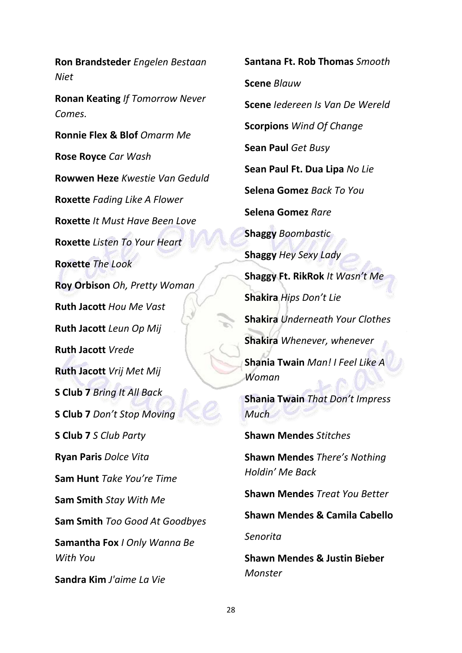**Ron Brandsteder** *Engelen Bestaan Niet* **Ronan Keating** *If Tomorrow Never Comes.* **Ronnie Flex & Blof** *Omarm Me* **Rose Royce** *Car Wash* **Rowwen Heze** *Kwestie Van Geduld* **Roxette** *Fading Like A Flower* **Roxette** *It Must Have Been Love* **Roxette** *Listen To Your Heart* **Roxette** *The Look* **Roy Orbison** *Oh, Pretty Woman* **Ruth Jacott** *Hou Me Vast* **Ruth Jacott** *Leun Op Mij* **Ruth Jacott** *Vrede* **Ruth Jacott** *Vrij Met Mij* **S Club 7** *Bring It All Back* **S Club 7** *Don't Stop Moving* **S Club 7** *S Club Party* **Ryan Paris** *Dolce Vita* **Sam Hunt** *Take You're Time* **Sam Smith** *Stay With Me* **Sam Smith** *Too Good At Goodbyes* **Samantha Fox** *I Only Wanna Be With You* **Sandra Kim** *J'aime La Vie*

**Santana Ft. Rob Thomas** *Smooth* **Scene** *Blauw* **Scene** *Iedereen Is Van De Wereld* **Scorpions** *Wind Of Change* **Sean Paul** *Get Busy* **Sean Paul Ft. Dua Lipa** *No Lie* **Selena Gomez** *Back To You* **Selena Gomez** *Rare* **Shaggy** *Boombastic* **Shaggy** *Hey Sexy Lady* **Shaggy Ft. RikRok** *It Wasn't Me* **Shakira** *Hips Don't Lie* **Shakira** *Underneath Your Clothes* **Shakira** *Whenever, whenever* **Shania Twain** *Man! I Feel Like A Woman* **Shania Twain** *That Don't Impress Much* **Shawn Mendes** *Stitches*

**Shawn Mendes** *There's Nothing Holdin' Me Back*

**Shawn Mendes** *Treat You Better*

**Shawn Mendes & Camila Cabello**

*Senorita*

**Shawn Mendes & Justin Bieber** *Monster*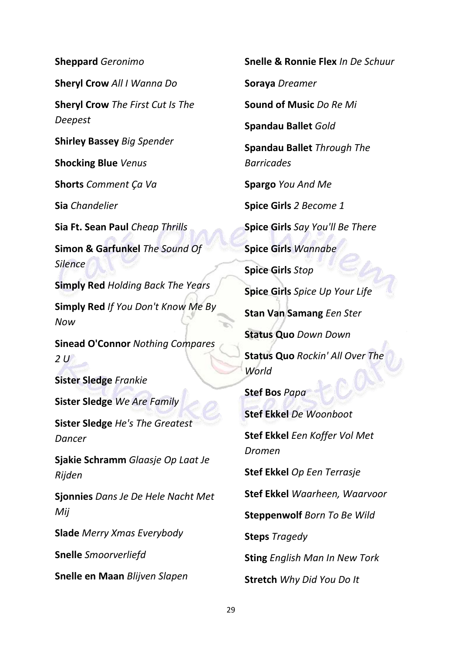**Sheppard** *Geronimo* **Sheryl Crow** *All I Wanna Do* **Sheryl Crow** *The First Cut Is The Deepest* **Shirley Bassey** *Big Spender* **Shocking Blue** *Venus* **Shorts** *Comment Ça Va* **Sia** *Chandelier* **Sia Ft. Sean Paul** *Cheap Thrills* **Simon & Garfunkel** *The Sound Of Silence* **Simply Red** *Holding Back The Years* **Simply Red** *If You Don't Know Me By Now* **Sinead O'Connor** *Nothing Compares 2 U* **Sister Sledge** *Frankie* **Sister Sledge** *We Are Family* **Sister Sledge** *He's The Greatest Dancer* **Sjakie Schramm** *Glaasje Op Laat Je Rijden* **Sjonnies** *Dans Je De Hele Nacht Met Mij* **Slade** *Merry Xmas Everybody* **Snelle** *Smoorverliefd* **Snelle en Maan** *Blijven Slapen*

**Snelle & Ronnie Flex** *In De Schuur* **Soraya** *Dreamer* **Sound of Music** *Do Re Mi* **Spandau Ballet** *Gold* **Spandau Ballet** *Through The Barricades* **Spargo** *You And Me* **Spice Girls** *2 Become 1* **Spice Girls** *Say You'll Be There* **Spice Girls** *Wannabe* **Spice Girls** *Stop* **Spice Girls** *Spice Up Your Life* **Stan Van Samang** *Een Ster* **Status Quo** *Down Down* **Status Quo** *Rockin' All Over The World* **Stef Bos** *Papa* **Stef Ekkel** *De Woonboot* **Stef Ekkel** *Een Koffer Vol Met Dromen* **Stef Ekkel** *Op Een Terrasje* **Stef Ekkel** *Waarheen, Waarvoor* **Steppenwolf** *Born To Be Wild* **Steps** *Tragedy* **Sting** *English Man In New Tork* **Stretch** *Why Did You Do It*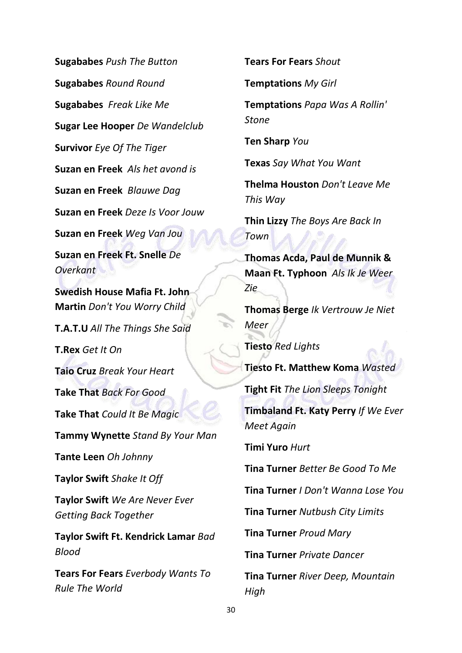**Sugababes** *Push The Button* **Sugababes** *Round Round* **Sugababes** *Freak Like Me* **Sugar Lee Hooper** *De Wandelclub* **Survivor** *Eye Of The Tiger* **Suzan en Freek** *Als het avond is* **Suzan en Freek** *Blauwe Dag* **Suzan en Freek** *Deze Is Voor Jouw* **Suzan en Freek** *Weg Van Jou* **Suzan en Freek Ft. Snelle** *De Overkant* **Swedish House Mafia Ft. John Martin** *Don't You Worry Child* **T.A.T.U** *All The Things She Said* **T.Rex** *Get It On* **Taio Cruz** *Break Your Heart* **Take That** *Back For Good* **Take That** *Could It Be Magic* **Tammy Wynette** *Stand By Your Man* **Tante Leen** *Oh Johnny* **Taylor Swift** *Shake It Off* **Taylor Swift** *We Are Never Ever Getting Back Together* **Taylor Swift Ft. Kendrick Lamar** *Bad Blood*

**Tears For Fears** *Everbody Wants To Rule The World*

**Tears For Fears** *Shout*

**Temptations** *My Girl*

**Temptations** *Papa Was A Rollin' Stone*

**Ten Sharp** *You*

**Texas** *Say What You Want*

**Thelma Houston** *Don't Leave Me This Way*

**Thin Lizzy** *The Boys Are Back In Town*

**Thomas Acda, Paul de Munnik & Maan Ft. Typhoon** *Als Ik Je Weer Zie*

**Thomas Berge** *Ik Vertrouw Je Niet Meer*

**Tiesto** *Red Lights*

**Tiesto Ft. Matthew Koma** *Wasted*

**Tight Fit** *The Lion Sleeps Tonight*

**Timbaland Ft. Katy Perry** *If We Ever Meet Again*

**Timi Yuro** *Hurt*

**Tina Turner** *Better Be Good To Me*

**Tina Turner** *I Don't Wanna Lose You*

**Tina Turner** *Nutbush City Limits*

**Tina Turner** *Proud Mary*

**Tina Turner** *Private Dancer*

**Tina Turner** *River Deep, Mountain High*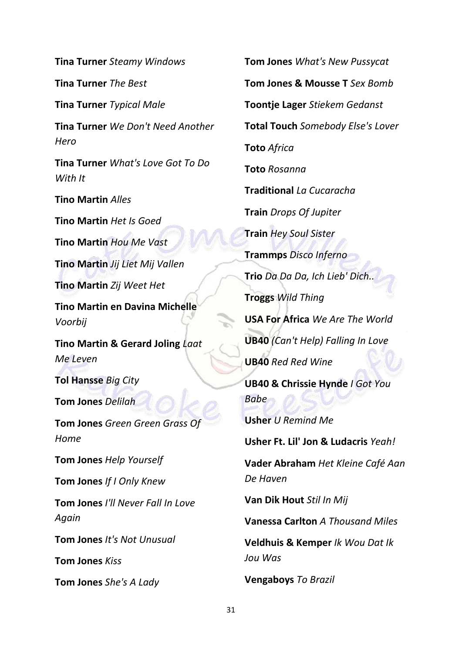**Tina Turner** *Steamy Windows*

**Tina Turner** *The Best*

**Tina Turner** *Typical Male*

**Tina Turner** *We Don't Need Another Hero*

**Tina Turner** *What's Love Got To Do With It*

**Tino Martin** *Alles*

**Tino Martin** *Het Is Goed*

**Tino Martin** *Hou Me Vast*

**Tino Martin** *Jij Liet Mij Vallen*

**Tino Martin** *Zij Weet Het*

**Tino Martin en Davina Michelle**  *Voorbij* 

**Tino Martin & Gerard Joling** *Laat Me Leven*

**Tol Hansse** *Big City*

**Tom Jones** *Delilah*

**Tom Jones** *Green Green Grass Of Home*

**Tom Jones** *Help Yourself*

**Tom Jones** *If I Only Knew*

**Tom Jones** *I'll Never Fall In Love Again*

**Tom Jones** *It's Not Unusual*

**Tom Jones** *Kiss*

**Tom Jones** *She's A Lady*

**Tom Jones** *What's New Pussycat* **Tom Jones & Mousse T** *Sex Bomb* **Toontje Lager** *Stiekem Gedanst* **Total Touch** *Somebody Else's Lover* **Toto** *Africa* **Toto** *Rosanna* **Traditional** *La Cucaracha* **Train** *Drops Of Jupiter* **Train** *Hey Soul Sister* **Trammps** *Disco Inferno* **Trio** *Da Da Da, Ich Lieb' Dich..* **Troggs** *Wild Thing* **USA For Africa** *We Are The World* **UB40** *(Can't Help) Falling In Love* **UB40** *Red Red Wine* **UB40 & Chrissie Hynde** *I Got You Babe* **Usher** *U Remind Me* **Usher Ft. Lil' Jon & Ludacris** *Yeah!* **Vader Abraham** *Het Kleine Café Aan De Haven* **Van Dik Hout** *Stil In Mij* **Vanessa Carlton** *A Thousand Miles* **Veldhuis & Kemper** *Ik Wou Dat Ik Jou Was*

**Vengaboys** *To Brazil*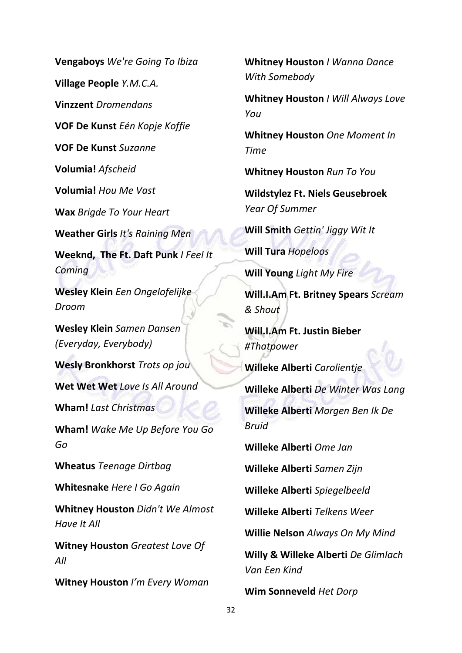**Vengaboys** *We're Going To Ibiza* **Village People** *Y.M.C.A.* **Vinzzent** *Dromendans* **VOF De Kunst** *Eén Kopje Koffie* **VOF De Kunst** *Suzanne* **Volumia!** *Afscheid* **Volumia!** *Hou Me Vast* **Wax** *Brigde To Your Heart* **Weather Girls** *It's Raining Men* **Weeknd, The Ft. Daft Punk** *I Feel It Coming* **Wesley Klein** *Een Ongelofelijke Droom* **Wesley Klein** *Samen Dansen (Everyday, Everybody)* **Wesly Bronkhorst** *Trots op jou* **Wet Wet Wet** *Love Is All Around* **Wham!** *Last Christmas* **Wham!** *Wake Me Up Before You Go Go* **Wheatus** *Teenage Dirtbag* **Whitesnake** *Here I Go Again* **Whitney Houston** *Didn't We Almost Have It All* **Witney Houston** *Greatest Love Of All* **Witney Houston** *I'm Every Woman*

**Whitney Houston** *I Wanna Dance With Somebody*

**Whitney Houston** *I Will Always Love You*

**Whitney Houston** *One Moment In Time*

**Whitney Houston** *Run To You*

**Wildstylez Ft. Niels Geusebroek**  *Year Of Summer*

**Will Smith** *Gettin' Jiggy Wit It*

**Will Tura** *Hopeloos*

**Will Young** *Light My Fire*

**Will.I.Am Ft. Britney Spears** *Scream & Shout*

**Will.I.Am Ft. Justin Bieber**  *#Thatpower*

**Willeke Alberti** *Carolientje*

**Willeke Alberti** *De Winter Was Lang*

**Willeke Alberti** *Morgen Ben Ik De Bruid*

**Willeke Alberti** *Ome Jan*

**Willeke Alberti** *Samen Zijn*

**Willeke Alberti** *Spiegelbeeld*

**Willeke Alberti** *Telkens Weer*

**Willie Nelson** *Always On My Mind*

**Willy & Willeke Alberti** *De Glimlach Van Een Kind*

**Wim Sonneveld** *Het Dorp*